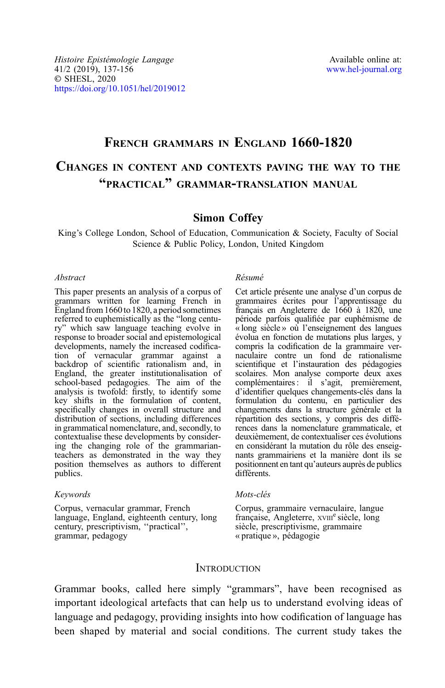# FRENCH GRAMMARS IN ENGLAND 1660-1820 CHANGES IN CONTENT AND CONTEXTS PAVING THE WAY TO THE "PRACTICAL" GRAMMAR-TRANSLATION MANUAL

# Simon Coffey

King's College London, School of Education, Communication & Society, Faculty of Social Science & Public Policy, London, United Kingdom

### Abstract

This paper presents an analysis of a corpus of grammars written for learning French in England from 1660to 1820, a period sometimes referred to euphemistically as the "long century" which saw language teaching evolve in response to broader social and epistemological tion of vernacular grammar against a backdrop of scientific rationalism and, in England, the greater institutionalisation of school-based pedagogies. The aim of the analysis is twofold: firstly, to identify some key shifts in the formulation of content, specifically changes in overall structure and distribution of sections, including differences in grammatical nomenclature, and, secondly, to contextualise these developments by considering the changing role of the grammarianteachers as demonstrated in the way they position themselves as authors to different publics.

#### Keywords

Corpus, vernacular grammar, French language, England, eighteenth century, long century, prescriptivism, ''practical'', grammar, pedagogy

#### Résumé

Cet article présente une analyse d'un corpus de grammaires écrites pour l'apprentissage du français en Angleterre de 1660 à 1820, une période parfois qualifiée par euphémisme de « long siècle » où l'enseignement des langues évolua en fonction de mutations plus larges, y compris la codification de la grammaire vernaculaire contre un fond de rationalisme scientifique et l'instauration des pédagogies scolaires. Mon analyse comporte deux axes complémentaires : il s'agit, premièrement, d'identifier quelques changements-clés dans la formulation du contenu, en particulier des changements dans la structure générale et la répartition des sections, y compris des différences dans la nomenclature grammaticale, et deuxièmement, de contextualiser ces évolutions en considérant la mutation du rôle des enseignants grammairiens et la manière dont ils se positionnent en tant qu'auteurs auprès de publics différents.

### Mots-clés

Corpus, grammaire vernaculaire, langue française, Angleterre, xvIII<sup>e</sup> siècle, long siècle, prescriptivisme, grammaire « pratique », pédagogie

# **INTRODUCTION**

Grammar books, called here simply "grammars", have been recognised as important ideological artefacts that can help us to understand evolving ideas of language and pedagogy, providing insights into how codification of language has been shaped by material and social conditions. The current study takes the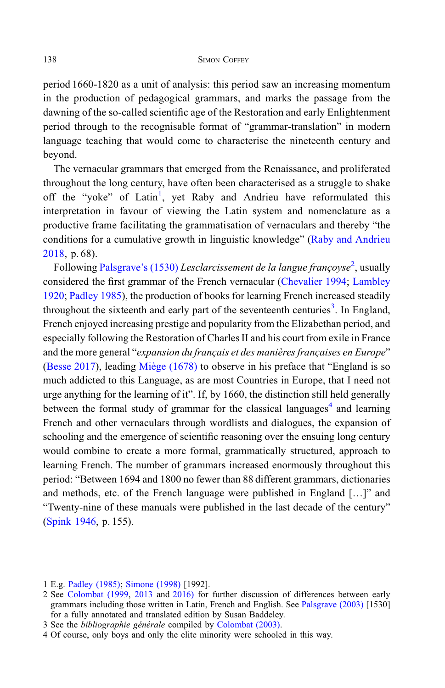period 1660-1820 as a unit of analysis: this period saw an increasing momentum in the production of pedagogical grammars, and marks the passage from the dawning of the so-called scientific age of the Restoration and early Enlightenment period through to the recognisable format of "grammar-translation" in modern language teaching that would come to characterise the nineteenth century and beyond.

The vernacular grammars that emerged from the Renaissance, and proliferated throughout the long century, have often been characterised as a struggle to shake off the "yoke" of Latin<sup>1</sup>, yet Raby and Andrieu have reformulated this interpretation in favour of viewing the Latin system and nomenclature as a productive frame facilitating the grammatisation of vernaculars and thereby "the conditions for a cumulative growth in linguistic knowledge" [\(Raby and Andrieu](#page-19-0) [2018,](#page-19-0) p. 68).

Following [Palsgrave](#page-17-0)'s (1530) Lesclarcissement de la langue françoyse<sup>2</sup>, usually considered the first grammar of the French vernacular ([Chevalier 1994](#page-18-0); [Lambley](#page-18-0) [1920](#page-18-0); [Padley 1985](#page-18-0)), the production of books for learning French increased steadily throughout the sixteenth and early part of the seventeenth centuries<sup>3</sup>. In England, French enjoyed increasing prestige and popularity from the Elizabethan period, and especially following the Restoration of Charles II and his court from exile in France and the more general "expansion du français et des manières françaises en Europe" [\(Besse 2017](#page-17-0)), leading [Miège \(1678\)](#page-17-0) to observe in his preface that "England is so much addicted to this Language, as are most Countries in Europe, that I need not urge anything for the learning of it". If, by 1660, the distinction still held generally between the formal study of grammar for the classical languages<sup>4</sup> and learning French and other vernaculars through wordlists and dialogues, the expansion of schooling and the emergence of scientific reasoning over the ensuing long century would combine to create a more formal, grammatically structured, approach to learning French. The number of grammars increased enormously throughout this period: "Between 1694 and 1800 no fewer than 88 different grammars, dictionaries and methods, etc. of the French language were published in England […]" and "Twenty-nine of these manuals were published in the last decade of the century" [\(Spink 1946,](#page-19-0) p. 155).

<sup>1</sup> E.g. [Padley \(1985\);](#page-18-0) [Simone \(1998\)](#page-19-0) [1992].

<sup>2</sup> See [Colombat \(1999,](#page-18-0) [2013](#page-18-0) and [2016\)](#page-18-0) for further discussion of differences between early grammars including those written in Latin, French and English. See [Palsgrave \(2003\)](#page-17-0) [1530] for a fully annotated and translated edition by Susan Baddeley.

<sup>3</sup> See the *bibliographie générale* compiled by [Colombat \(2003\).](#page-18-0)

<sup>4</sup> Of course, only boys and only the elite minority were schooled in this way.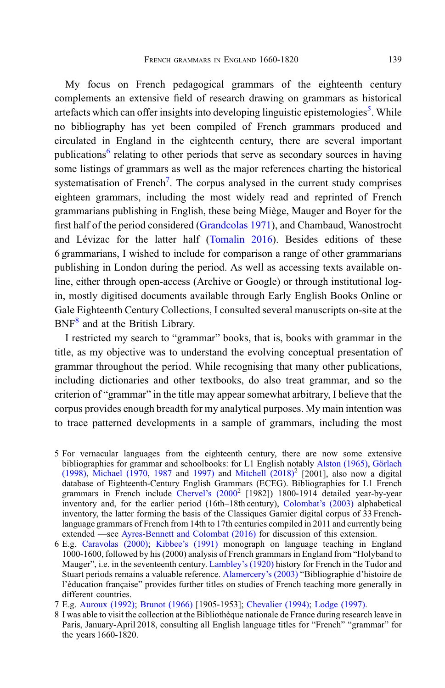My focus on French pedagogical grammars of the eighteenth century complements an extensive field of research drawing on grammars as historical artefacts which can offer insights into developing linguistic epistemologies<sup>5</sup>. While no bibliography has yet been compiled of French grammars produced and circulated in England in the eighteenth century, there are several important publications<sup>6</sup> relating to other periods that serve as secondary sources in having some listings of grammars as well as the major references charting the historical systematisation of French<sup>7</sup>. The corpus analysed in the current study comprises eighteen grammars, including the most widely read and reprinted of French grammarians publishing in English, these being Miège, Mauger and Boyer for the first half of the period considered [\(Grandcolas 1971](#page-18-0)), and Chambaud, Wanostrocht and Lévizac for the latter half ([Tomalin 2016](#page-19-0)). Besides editions of these 6 grammarians, I wished to include for comparison a range of other grammarians publishing in London during the period. As well as accessing texts available online, either through open-access (Archive or Google) or through institutional login, mostly digitised documents available through Early English Books Online or Gale Eighteenth Century Collections, I consulted several manuscripts on-site at the BNF<sup>8</sup> and at the British Library.

I restricted my search to "grammar" books, that is, books with grammar in the title, as my objective was to understand the evolving conceptual presentation of grammar throughout the period. While recognising that many other publications, including dictionaries and other textbooks, do also treat grammar, and so the criterion of "grammar" in the title may appear somewhat arbitrary, I believe that the corpus provides enough breadth for my analytical purposes. My main intention was to trace patterned developments in a sample of grammars, including the most

- 5 For vernacular languages from the eighteenth century, there are now some extensive bibliographies for grammar and schoolbooks: for L1 English notably [Alston \(1965\)](#page-17-0), [Görlach](#page-18-0) [\(1998\)](#page-18-0), [Michael \(1970,](#page-18-0) [1987](#page-18-0) and [1997\)](#page-18-0) and Mitchell  $(2018)^2$  [2001], also now a digital database of Eighteenth-Century English Grammars (ECEG). Bibliographies for L1 French grammars in French include Chervel'[s \(2000](#page-18-0)<sup>2</sup> [1982]) 1800-1914 detailed year-by-year inventory and, for the earlier period (16th–18th century), [Colombat](#page-18-0)'s (2003) alphabetical inventory, the latter forming the basis of the Classiques Garnier digital corpus of 33 Frenchlanguage grammars of French from 14th to 17th centuries compiled in 2011 and currently being extended —see [Ayres-Bennett and Colombat \(2016\)](#page-17-0) for discussion of this extension.
- 6 E.g. [Caravolas \(2000\)](#page-18-0); Kibbee'[s \(1991\)](#page-18-0) monograph on language teaching in England 1000-1600, followed by his (2000) analysis of French grammars in England from "Holyband to Mauger", i.e. in the seventeenth century. [Lambley](#page-18-0)'s (1920) history for French in the Tudor and Stuart periods remains a valuable reference. [Alamercery](#page-17-0)'s (2003) "Bibliographie d'histoire de l'éducation française" provides further titles on studies of French teaching more generally in different countries.
- 7 E.g. [Auroux \(1992\)](#page-17-0); [Brunot \(1966\)](#page-18-0) [1905-1953]; [Chevalier \(1994\)](#page-18-0); [Lodge \(1997\).](#page-18-0)
- 8 I was able to visit the collection at the Bibliothèque nationale de France during research leave in Paris, January-April 2018, consulting all English language titles for "French" "grammar" for the years 1660-1820.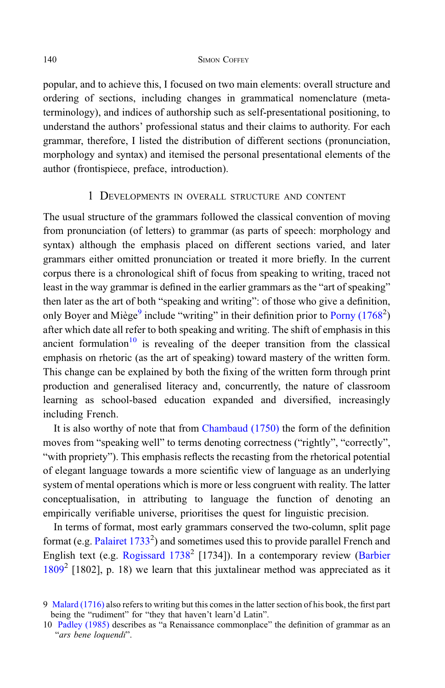popular, and to achieve this, I focused on two main elements: overall structure and ordering of sections, including changes in grammatical nomenclature (metaterminology), and indices of authorship such as self-presentational positioning, to understand the authors' professional status and their claims to authority. For each grammar, therefore, I listed the distribution of different sections (pronunciation, morphology and syntax) and itemised the personal presentational elements of the author (frontispiece, preface, introduction).

# 1 DEVELOPMENTS IN OVERALL STRUCTURE AND CONTENT

The usual structure of the grammars followed the classical convention of moving from pronunciation (of letters) to grammar (as parts of speech: morphology and syntax) although the emphasis placed on different sections varied, and later grammars either omitted pronunciation or treated it more briefly. In the current corpus there is a chronological shift of focus from speaking to writing, traced not least in the way grammar is defined in the earlier grammars as the "art of speaking" then later as the art of both "speaking and writing": of those who give a definition, only Boyer and Miège<sup>9</sup> include "writing" in their definition prior to Porny  $(1768^2)$ after which date all refer to both speaking and writing. The shift of emphasis in this ancient formulation<sup>10</sup> is revealing of the deeper transition from the classical emphasis on rhetoric (as the art of speaking) toward mastery of the written form. This change can be explained by both the fixing of the written form through print production and generalised literacy and, concurrently, the nature of classroom learning as school-based education expanded and diversified, increasingly including French.

It is also worthy of note that from [Chambaud \(1750\)](#page-16-0) the form of the definition moves from "speaking well" to terms denoting correctness ("rightly", "correctly", "with propriety"). This emphasis reflects the recasting from the rhetorical potential of elegant language towards a more scientific view of language as an underlying system of mental operations which is more or less congruent with reality. The latter conceptualisation, in attributing to language the function of denoting an empirically verifiable universe, prioritises the quest for linguistic precision.

In terms of format, most early grammars conserved the two-column, split page format (e.g. Palairet  $1733<sup>2</sup>$ ) and sometimes used this to provide parallel French and English text (e.g. [Rogissard 1738](#page-17-0)<sup>2</sup> [1734]). In a contemporary review [\(Barbier](#page-17-0)  $1809<sup>2</sup>$  $1809<sup>2</sup>$  [1802], p. 18) we learn that this juxtalinear method was appreciated as it

<sup>9</sup> [Malard \(1716\)](#page-17-0) also refers to writing but this comes in the latter section of his book, the first part being the "rudiment" for "they that haven't learn'd Latin".

<sup>10</sup> [Padley \(1985\)](#page-18-0) describes as "a Renaissance commonplace" the definition of grammar as an "ars bene loquendi".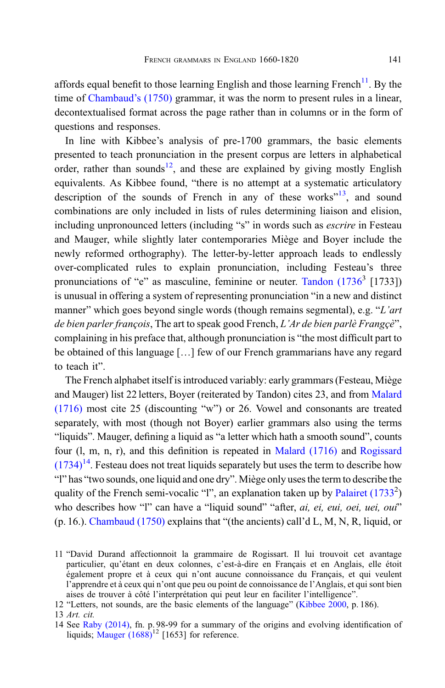affords equal benefit to those learning English and those learning French<sup>11</sup>. By the time of [Chambaud](#page-16-0)'s (1750) grammar, it was the norm to present rules in a linear, decontextualised format across the page rather than in columns or in the form of questions and responses.

In line with Kibbee's analysis of pre-1700 grammars, the basic elements presented to teach pronunciation in the present corpus are letters in alphabetical order, rather than sounds<sup>12</sup>, and these are explained by giving mostly English equivalents. As Kibbee found, "there is no attempt at a systematic articulatory description of the sounds of French in any of these works $n<sup>13</sup>$ , and sound combinations are only included in lists of rules determining liaison and elision, including unpronounced letters (including "s" in words such as *escrire* in Festeau and Mauger, while slightly later contemporaries Miège and Boyer include the newly reformed orthography). The letter-by-letter approach leads to endlessly over-complicated rules to explain pronunciation, including Festeau's three pronunciations of "e" as masculine, feminine or neuter. Tandon  $(1736^3 \text{ [1733]})$ is unusual in offering a system of representing pronunciation "in a new and distinct manner" which goes beyond single words (though remains segmental), e.g. "L'art de bien parler françois, The art to speak good French,  $L'Ar$  de bien parlè Frangçè", complaining in his preface that, although pronunciation is "the most difficult part to be obtained of this language […] few of our French grammarians have any regard to teach it".

The French alphabet itself is introduced variably: early grammars (Festeau, Miège and Mauger) list 22 letters, Boyer (reiterated by Tandon) cites 23, and from [Malard](#page-17-0) [\(1716\)](#page-17-0) most cite 25 (discounting "w") or 26. Vowel and consonants are treated separately, with most (though not Boyer) earlier grammars also using the terms "liquids". Mauger, defining a liquid as "a letter which hath a smooth sound", counts four (l, m, n, r), and this definition is repeated in [Malard \(1716\)](#page-17-0) and [Rogissard](#page-17-0)  $(1734)^{14}$  $(1734)^{14}$ . Festeau does not treat liquids separately but uses the term to describe how "l" has "two sounds, one liquid and one dry". Miège only uses the term to describe the quality of the French semi-vocalic "l", an explanation taken up by Palairet  $(1733^2)$ who describes how "l" can have a "liquid sound" "after, *ai, ei, eui, oei, uei, oui*" (p. 16.). [Chambaud \(1750\)](#page-16-0) explains that "(the ancients) call'd L, M, N, R, liquid, or

<sup>11</sup> "David Durand affectionnoit la grammaire de Rogissart. Il lui trouvoit cet avantage particulier, qu'étant en deux colonnes, c'est-à-dire en Français et en Anglais, elle étoit également propre et à ceux qui n'ont aucune connoissance du Français, et qui veulent l'apprendre et à ceux qui n'ont que peu ou point de connoissance de l'Anglais, et qui sont bien aises de trouver à côté l'interprétation qui peut leur en faciliter l'intelligence".

<sup>12</sup> "Letters, not sounds, are the basic elements of the language" [\(Kibbee 2000](#page-18-0), p. 186).

<sup>13</sup> Art. cit.

<sup>14</sup> See [Raby \(2014\),](#page-19-0) fn. p. 98-99 for a summary of the origins and evolving identification of liquids; Mauger  $(1688)^{12}$  [1653] for reference.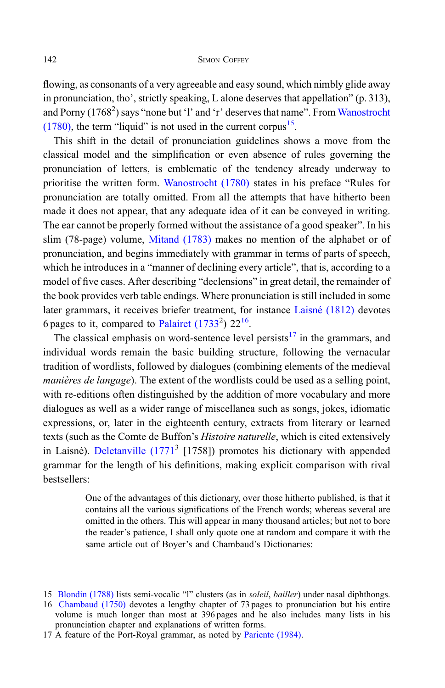flowing, as consonants of a very agreeable and easy sound, which nimbly glide away in pronunciation, tho', strictly speaking, L alone deserves that appellation" (p. 313), and Porny  $(1768^2)$  says "none but 'l' and 'r' deserves that name". From [Wanostrocht](#page-17-0)  $(1780)$ , the term "liquid" is not used in the current corpus<sup>15</sup>.

This shift in the detail of pronunciation guidelines shows a move from the classical model and the simplification or even absence of rules governing the pronunciation of letters, is emblematic of the tendency already underway to prioritise the written form. [Wanostrocht \(1780\)](#page-17-0) states in his preface "Rules for pronunciation are totally omitted. From all the attempts that have hitherto been made it does not appear, that any adequate idea of it can be conveyed in writing. The ear cannot be properly formed without the assistance of a good speaker". In his slim (78-page) volume, [Mitand \(1783\)](#page-17-0) makes no mention of the alphabet or of pronunciation, and begins immediately with grammar in terms of parts of speech, which he introduces in a "manner of declining every article", that is, according to a model of five cases. After describing "declensions" in great detail, the remainder of the book provides verb table endings. Where pronunciation is still included in some later grammars, it receives briefer treatment, for instance [Laisné \(1812\)](#page-16-0) devotes 6 pages to it, compared to Palairet  $(1733^2)$   $22^{16}$ .

The classical emphasis on word-sentence level persists<sup>17</sup> in the grammars, and individual words remain the basic building structure, following the vernacular tradition of wordlists, followed by dialogues (combining elements of the medieval manières de langage). The extent of the wordlists could be used as a selling point, with re-editions often distinguished by the addition of more vocabulary and more dialogues as well as a wider range of miscellanea such as songs, jokes, idiomatic expressions, or, later in the eighteenth century, extracts from literary or learned texts (such as the Comte de Buffon's *Histoire naturelle*, which is cited extensively in Laisné). Deletanville  $(1771<sup>3</sup>$  [1758]) promotes his dictionary with appended grammar for the length of his definitions, making explicit comparison with rival bestsellers:

> One of the advantages of this dictionary, over those hitherto published, is that it contains all the various significations of the French words; whereas several are omitted in the others. This will appear in many thousand articles; but not to bore the reader's patience, I shall only quote one at random and compare it with the same article out of Boyer's and Chambaud's Dictionaries:

<sup>15</sup> [Blondin \(1788\)](#page-16-0) lists semi-vocalic "l" clusters (as in soleil, bailler) under nasal diphthongs.

<sup>16</sup> [Chambaud \(1750\)](#page-16-0) devotes a lengthy chapter of 73 pages to pronunciation but his entire volume is much longer than most at 396 pages and he also includes many lists in his pronunciation chapter and explanations of written forms.

<sup>17</sup> A feature of the Port-Royal grammar, as noted by [Pariente \(1984\)](#page-19-0).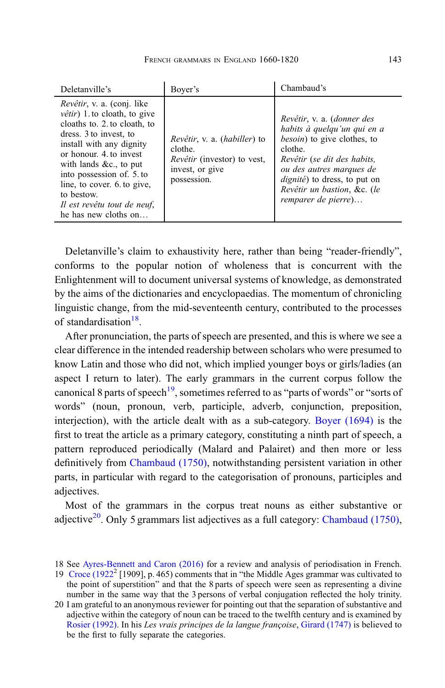| Deletanville's                                                                                                                                                                                                                                                                                                                                    | Bover's                                                                                                                        | Chambaud's                                                                                                                                                                                                                                                           |
|---------------------------------------------------------------------------------------------------------------------------------------------------------------------------------------------------------------------------------------------------------------------------------------------------------------------------------------------------|--------------------------------------------------------------------------------------------------------------------------------|----------------------------------------------------------------------------------------------------------------------------------------------------------------------------------------------------------------------------------------------------------------------|
| Revêtir, v. a. (conj. like<br>$v$ <i>etir</i> ) 1. to cloath, to give<br>cloaths to. 2, to cloath, to<br>dress. 3 to invest, to<br>install with any dignity<br>or honour. 4, to invest<br>with lands $&c.,$ to put<br>into possession of 5. to<br>line, to cover. 6 to give,<br>to bestow.<br>Il est revêtu tout de neuf,<br>he has new cloths on | <i>Revêtir</i> , v. a. <i>(habiller)</i> to<br>clothe.<br><i>Revêtir</i> (investor) to vest,<br>invest, or give<br>possession. | Revêtir, v. a. (donner des<br>habits à quelqu'un qui en a<br><i>besoin</i> ) to give clothes, to<br>clothe.<br>Revêtir (se dit des habits,<br>ou des autres marques de<br><i>dignité</i> ) to dress, to put on<br>Revêtir un bastion, &c. (le<br>remparer de pierre) |

Deletanville's claim to exhaustivity here, rather than being "reader-friendly", conforms to the popular notion of wholeness that is concurrent with the Enlightenment will to document universal systems of knowledge, as demonstrated by the aims of the dictionaries and encyclopaedias. The momentum of chronicling linguistic change, from the mid-seventeenth century, contributed to the processes of standardisation<sup>18</sup>.

After pronunciation, the parts of speech are presented, and this is where we see a clear difference in the intended readership between scholars who were presumed to know Latin and those who did not, which implied younger boys or girls/ladies (an aspect I return to later). The early grammars in the current corpus follow the canonical 8 parts of speech<sup>19</sup>, sometimes referred to as "parts of words" or "sorts of words" (noun, pronoun, verb, participle, adverb, conjunction, preposition, interjection), with the article dealt with as a sub-category. [Boyer \(1694\)](#page-16-0) is the first to treat the article as a primary category, constituting a ninth part of speech, a pattern reproduced periodically (Malard and Palairet) and then more or less definitively from [Chambaud \(1750\)](#page-16-0), notwithstanding persistent variation in other parts, in particular with regard to the categorisation of pronouns, participles and adjectives.

Most of the grammars in the corpus treat nouns as either substantive or adjective<sup>20</sup>. Only 5 grammars list adjectives as a full category: [Chambaud \(1750\)](#page-16-0),

<sup>18</sup> See [Ayres-Bennett and Caron \(2016\)](#page-17-0) for a review and analysis of periodisation in French.

<sup>19</sup> [Croce \(1922](#page-18-0)<sup>2</sup> [1909], p. 465) comments that in "the Middle Ages grammar was cultivated to the point of superstition" and that the 8 parts of speech were seen as representing a divine number in the same way that the 3 persons of verbal conjugation reflected the holy trinity.

<sup>20</sup> I am grateful to an anonymous reviewer for pointing out that the separation of substantive and adjective within the category of noun can be traced to the twelfth century and is examined by [Rosier \(1992\)](#page-19-0). In his Les vrais principes de la langue françoise, [Girard \(1747\)](#page-16-0) is believed to be the first to fully separate the categories.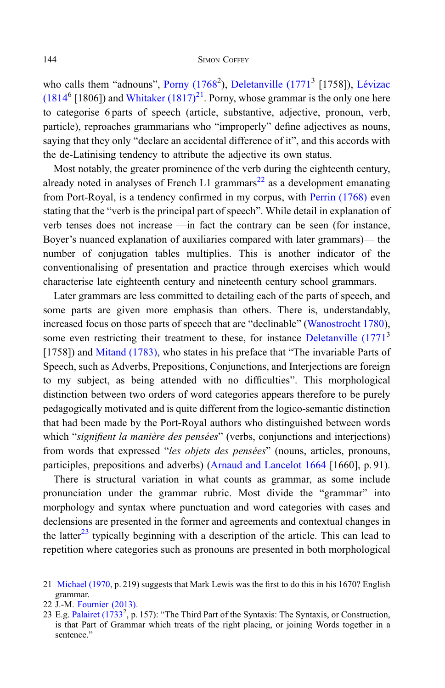who calls them "adnouns", Porny (1768<sup>2</sup>), [Deletanville \(1771](#page-16-0)<sup>3</sup> [1758]), [Lévizac](#page-16-0)  $(1814<sup>6</sup> [1806])$  and Whitaker  $(1817)<sup>21</sup>$ . Porny, whose grammar is the only one here to categorise 6 parts of speech (article, substantive, adjective, pronoun, verb, particle), reproaches grammarians who "improperly" define adjectives as nouns, saying that they only "declare an accidental difference of it", and this accords with the de-Latinising tendency to attribute the adjective its own status.

Most notably, the greater prominence of the verb during the eighteenth century, already noted in analyses of French L1 grammars<sup>22</sup> as a development emanating from Port-Royal, is a tendency confirmed in my corpus, with [Perrin \(1768\)](#page-17-0) even stating that the "verb is the principal part of speech". While detail in explanation of verb tenses does not increase —in fact the contrary can be seen (for instance, Boyer's nuanced explanation of auxiliaries compared with later grammars)— the number of conjugation tables multiplies. This is another indicator of the conventionalising of presentation and practice through exercises which would characterise late eighteenth century and nineteenth century school grammars.

Later grammars are less committed to detailing each of the parts of speech, and some parts are given more emphasis than others. There is, understandably, increased focus on those parts of speech that are "declinable" [\(Wanostrocht 1780](#page-17-0)), some even restricting their treatment to these, for instance [Deletanville \(1771](#page-16-0)<sup>3</sup>) [1758]) and [Mitand \(1783\)](#page-17-0), who states in his preface that "The invariable Parts of Speech, such as Adverbs, Prepositions, Conjunctions, and Interjections are foreign to my subject, as being attended with no difficulties". This morphological distinction between two orders of word categories appears therefore to be purely pedagogically motivated and is quite different from the logico-semantic distinction that had been made by the Port-Royal authors who distinguished between words which "signifient la manière des pensées" (verbs, conjunctions and interjections) from words that expressed "les objets des pensées" (nouns, articles, pronouns, participles, prepositions and adverbs) ([Arnaud and Lancelot 1664](#page-16-0) [1660], p. 91).

There is structural variation in what counts as grammar, as some include pronunciation under the grammar rubric. Most divide the "grammar" into morphology and syntax where punctuation and word categories with cases and declensions are presented in the former and agreements and contextual changes in the latter<sup>23</sup> typically beginning with a description of the article. This can lead to repetition where categories such as pronouns are presented in both morphological

<sup>21</sup> [Michael \(1970,](#page-18-0) p. 219) suggests that Mark Lewis was the first to do this in his 1670? English grammar.

<sup>22</sup> J.-M. [Fournier \(2013\)](#page-18-0).

<sup>23</sup> E.g. [Palairet \(1733](#page-17-0)<sup>2</sup>, p. 157): "The Third Part of the Syntaxis: The Syntaxis, or Construction, is that Part of Grammar which treats of the right placing, or joining Words together in a sentence."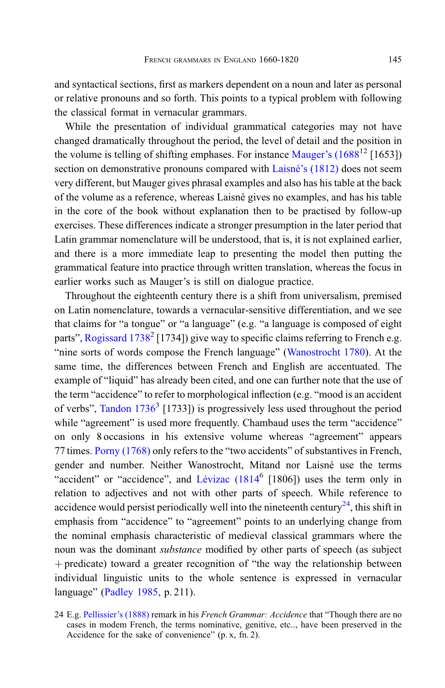and syntactical sections, first as markers dependent on a noun and later as personal or relative pronouns and so forth. This points to a typical problem with following the classical format in vernacular grammars.

While the presentation of individual grammatical categories may not have changed dramatically throughout the period, the level of detail and the position in the volume is telling of shifting emphases. For instance [Mauger](#page-17-0)'s  $(1688^{12}$  [1653]) section on demonstrative pronouns compared with Laisné'[s \(1812\)](#page-16-0) does not seem very different, but Mauger gives phrasal examples and also has his table at the back of the volume as a reference, whereas Laisné gives no examples, and has his table in the core of the book without explanation then to be practised by follow-up exercises. These differences indicate a stronger presumption in the later period that Latin grammar nomenclature will be understood, that is, it is not explained earlier, and there is a more immediate leap to presenting the model then putting the grammatical feature into practice through written translation, whereas the focus in earlier works such as Mauger's is still on dialogue practice.

Throughout the eighteenth century there is a shift from universalism, premised on Latin nomenclature, towards a vernacular-sensitive differentiation, and we see that claims for "a tongue" or "a language" (e.g. "a language is composed of eight parts", [Rogissard 1738](#page-17-0)<sup>2</sup> [1734]) give way to specific claims referring to French e.g. "nine sorts of words compose the French language" [\(Wanostrocht 1780\)](#page-17-0). At the same time, the differences between French and English are accentuated. The example of "liquid" has already been cited, and one can further note that the use of the term "accidence" to refer to morphological inflection (e.g. "mood is an accident of verbs", Tandon  $1736<sup>3</sup>$  [1733]) is progressively less used throughout the period while "agreement" is used more frequently. Chambaud uses the term "accidence" on only 8 occasions in his extensive volume whereas "agreement" appears 77 times. [Porny \(1768\)](#page-17-0) only refers to the "two accidents" of substantives in French, gender and number. Neither Wanostrocht, Mitand nor Laisné use the terms "accident" or "accidence", and Lévizac  $(1814<sup>6</sup>$  [1806]) uses the term only in relation to adjectives and not with other parts of speech. While reference to accidence would persist periodically well into the nineteenth century<sup>24</sup>, this shift in emphasis from "accidence" to "agreement" points to an underlying change from the nominal emphasis characteristic of medieval classical grammars where the noun was the dominant substance modified by other parts of speech (as subject þ predicate) toward a greater recognition of "the way the relationship between individual linguistic units to the whole sentence is expressed in vernacular language" [\(Padley 1985](#page-18-0), p. 211).

<sup>24</sup> E.g. [Pellissier](#page-19-0)'s (1888) remark in his French Grammar: Accidence that "Though there are no cases in modem French, the terms nominative, genitive, etc.., have been preserved in the Accidence for the sake of convenience" (p. x, fn. 2).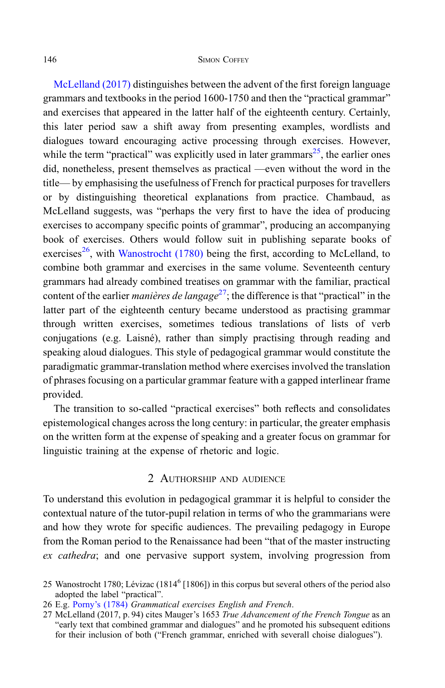[McLelland \(2017\)](#page-18-0) distinguishes between the advent of the first foreign language grammars and textbooks in the period 1600-1750 and then the "practical grammar" and exercises that appeared in the latter half of the eighteenth century. Certainly, this later period saw a shift away from presenting examples, wordlists and dialogues toward encouraging active processing through exercises. However, while the term "practical" was explicitly used in later grammars<sup>25</sup>, the earlier ones did, nonetheless, present themselves as practical —even without the word in the title— by emphasising the usefulness of French for practical purposes for travellers or by distinguishing theoretical explanations from practice. Chambaud, as McLelland suggests, was "perhaps the very first to have the idea of producing exercises to accompany specific points of grammar", producing an accompanying book of exercises. Others would follow suit in publishing separate books of exercises<sup>26</sup>, with [Wanostrocht \(1780\)](#page-17-0) being the first, according to McLelland, to combine both grammar and exercises in the same volume. Seventeenth century grammars had already combined treatises on grammar with the familiar, practical content of the earlier *manières de langage*<sup>27</sup>; the difference is that "practical" in the latter part of the eighteenth century became understood as practising grammar through written exercises, sometimes tedious translations of lists of verb conjugations (e.g. Laisné), rather than simply practising through reading and speaking aloud dialogues. This style of pedagogical grammar would constitute the paradigmatic grammar-translation method where exercises involved the translation of phrases focusing on a particular grammar feature with a gapped interlinear frame provided.

The transition to so-called "practical exercises" both reflects and consolidates epistemological changes across the long century: in particular, the greater emphasis on the written form at the expense of speaking and a greater focus on grammar for linguistic training at the expense of rhetoric and logic.

# 2 AUTHORSHIP AND AUDIENCE

To understand this evolution in pedagogical grammar it is helpful to consider the contextual nature of the tutor-pupil relation in terms of who the grammarians were and how they wrote for specific audiences. The prevailing pedagogy in Europe from the Roman period to the Renaissance had been "that of the master instructing ex cathedra; and one pervasive support system, involving progression from

- 26 E.g. Porny'[s \(1784\)](#page-17-0) Grammatical exercises English and French.
- 27 McLelland (2017, p. 94) cites Mauger's 1653 True Advancement of the French Tongue as an "early text that combined grammar and dialogues" and he promoted his subsequent editions for their inclusion of both ("French grammar, enriched with severall choise dialogues").

<sup>25</sup> Wanostrocht 1780; Lévizac (1814<sup>6</sup> [1806]) in this corpus but several others of the period also adopted the label "practical".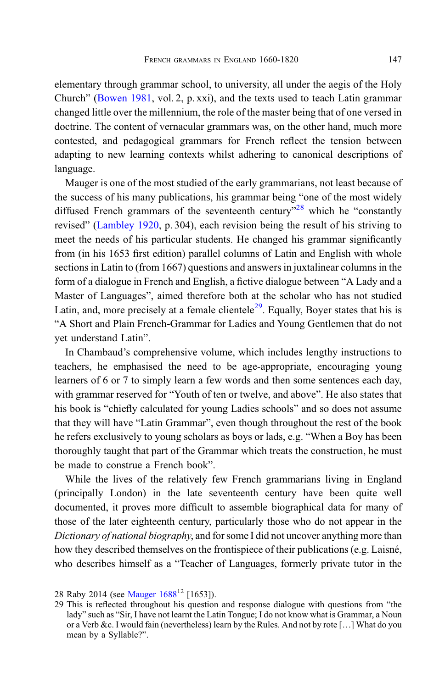elementary through grammar school, to university, all under the aegis of the Holy Church" [\(Bowen 1981,](#page-17-0) vol. 2, p. xxi), and the texts used to teach Latin grammar changed little over the millennium, the role of the master being that of one versed in doctrine. The content of vernacular grammars was, on the other hand, much more contested, and pedagogical grammars for French reflect the tension between adapting to new learning contexts whilst adhering to canonical descriptions of language.

Mauger is one of the most studied of the early grammarians, not least because of the success of his many publications, his grammar being "one of the most widely diffused French grammars of the seventeenth century<sup>"28</sup> which he "constantly" revised" [\(Lambley 1920,](#page-18-0) p. 304), each revision being the result of his striving to meet the needs of his particular students. He changed his grammar significantly from (in his 1653 first edition) parallel columns of Latin and English with whole sections in Latin to (from 1667) questions and answers in juxtalinear columns in the form of a dialogue in French and English, a fictive dialogue between "A Lady and a Master of Languages", aimed therefore both at the scholar who has not studied Latin, and, more precisely at a female clientele<sup>29</sup>. Equally, Boyer states that his is "A Short and Plain French-Grammar for Ladies and Young Gentlemen that do not yet understand Latin".

In Chambaud's comprehensive volume, which includes lengthy instructions to teachers, he emphasised the need to be age-appropriate, encouraging young learners of 6 or 7 to simply learn a few words and then some sentences each day, with grammar reserved for "Youth of ten or twelve, and above". He also states that his book is "chiefly calculated for young Ladies schools" and so does not assume that they will have "Latin Grammar", even though throughout the rest of the book he refers exclusively to young scholars as boys or lads, e.g. "When a Boy has been thoroughly taught that part of the Grammar which treats the construction, he must be made to construe a French book".

While the lives of the relatively few French grammarians living in England (principally London) in the late seventeenth century have been quite well documented, it proves more difficult to assemble biographical data for many of those of the later eighteenth century, particularly those who do not appear in the Dictionary of national biography, and for some I did not uncover anything more than how they described themselves on the frontispiece of their publications (e.g. Laisné, who describes himself as a "Teacher of Languages, formerly private tutor in the

<sup>28</sup> Raby 2014 (see Mauger  $1688^{12}$  [1653]).

<sup>29</sup> This is reflected throughout his question and response dialogue with questions from "the lady" such as "Sir, I have not learnt the Latin Tongue; I do not know what is Grammar, a Noun or a Verb &c. I would fain (nevertheless) learn by the Rules. And not by rote […] What do you mean by a Syllable?".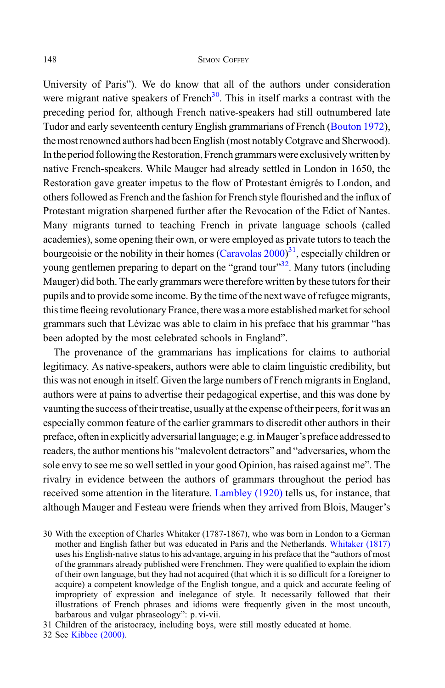University of Paris"). We do know that all of the authors under consideration were migrant native speakers of French<sup>30</sup>. This in itself marks a contrast with the preceding period for, although French native-speakers had still outnumbered late Tudor and early seventeenth century English grammarians of French [\(Bouton 1972\)](#page-17-0), the most renowned authors had been English (most notably Cotgrave and Sherwood). In the period following the Restoration, French grammars were exclusively written by native French-speakers. While Mauger had already settled in London in 1650, the Restoration gave greater impetus to the flow of Protestant émigrés to London, and others followed as French and the fashion for French style flourished and the influx of Protestant migration sharpened further after the Revocation of the Edict of Nantes. Many migrants turned to teaching French in private language schools (called academies), some opening their own, or were employed as private tutors to teach the bourgeoisie or the nobility in their homes [\(Caravolas 2000](#page-18-0))<sup>31</sup>, especially children or young gentlemen preparing to depart on the "grand tour"<sup>32</sup>. Many tutors (including Mauger) did both. The early grammars were therefore written by these tutors for their pupils and to provide some income. By the time of the next wave of refugee migrants, this time fleeing revolutionary France, there was a more established market for school grammars such that Lévizac was able to claim in his preface that his grammar "has been adopted by the most celebrated schools in England".

The provenance of the grammarians has implications for claims to authorial legitimacy. As native-speakers, authors were able to claim linguistic credibility, but this was not enough in itself. Given the large numbers of French migrants in England, authors were at pains to advertise their pedagogical expertise, and this was done by vaunting the success of their treatise, usually at the expense of their peers, for it was an especially common feature of the earlier grammars to discredit other authors in their preface, oftenin explicitly adversariallanguage; e.g.inMauger's preface addressedto readers, the author mentions his "malevolent detractors" and "adversaries, whom the sole envy to see me so well settled in your good Opinion, has raised against me". The rivalry in evidence between the authors of grammars throughout the period has received some attention in the literature. [Lambley \(1920\)](#page-18-0) tells us, for instance, that although Mauger and Festeau were friends when they arrived from Blois, Mauger's

<sup>30</sup> With the exception of Charles Whitaker (1787-1867), who was born in London to a German mother and English father but was educated in Paris and the Netherlands. [Whitaker \(1817\)](#page-17-0) uses his English-native status to his advantage, arguing in his preface that the "authors of most of the grammars already published were Frenchmen. They were qualified to explain the idiom of their own language, but they had not acquired (that which it is so difficult for a foreigner to acquire) a competent knowledge of the English tongue, and a quick and accurate feeling of impropriety of expression and inelegance of style. It necessarily followed that their illustrations of French phrases and idioms were frequently given in the most uncouth, barbarous and vulgar phraseology": p. vi-vii.

<sup>31</sup> Children of the aristocracy, including boys, were still mostly educated at home.

<sup>32</sup> See [Kibbee \(2000\)](#page-18-0).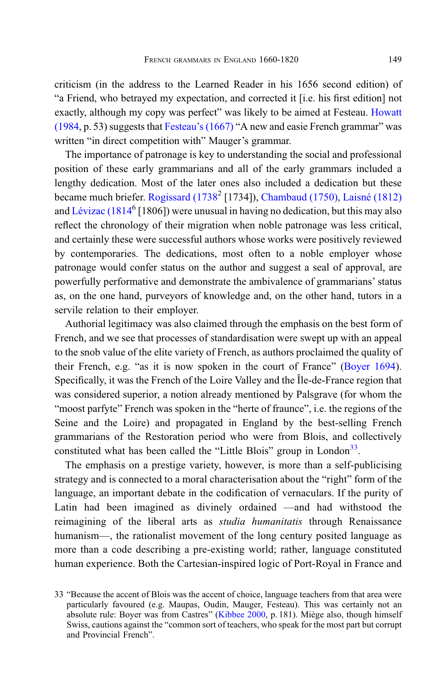criticism (in the address to the Learned Reader in his 1656 second edition) of "a Friend, who betrayed my expectation, and corrected it [i.e. his first edition] not exactly, although my copy was perfect" was likely to be aimed at Festeau. [Howatt](#page-18-0) [\(1984,](#page-18-0) p. 53) suggests that Festeau'[s \(1667\)](#page-16-0) "A new and easie French grammar" was written "in direct competition with" Mauger's grammar.

The importance of patronage is key to understanding the social and professional position of these early grammarians and all of the early grammars included a lengthy dedication. Most of the later ones also included a dedication but these became much briefer. [Rogissard \(1738](#page-17-0)<sup>2</sup> [1734]), [Chambaud \(1750\),](#page-16-0) [Laisné \(1812\)](#page-16-0) and [Lévizac \(1814](#page-16-0)<sup>6</sup> [1806]) were unusual in having no dedication, but this may also reflect the chronology of their migration when noble patronage was less critical, and certainly these were successful authors whose works were positively reviewed by contemporaries. The dedications, most often to a noble employer whose patronage would confer status on the author and suggest a seal of approval, are powerfully performative and demonstrate the ambivalence of grammarians' status as, on the one hand, purveyors of knowledge and, on the other hand, tutors in a servile relation to their employer.

Authorial legitimacy was also claimed through the emphasis on the best form of French, and we see that processes of standardisation were swept up with an appeal to the snob value of the elite variety of French, as authors proclaimed the quality of their French, e.g. "as it is now spoken in the court of France" ([Boyer 1694\)](#page-16-0). Specifically, it was the French of the Loire Valley and the Île-de-France region that was considered superior, a notion already mentioned by Palsgrave (for whom the "moost parfyte" French was spoken in the "herte of fraunce", i.e. the regions of the Seine and the Loire) and propagated in England by the best-selling French grammarians of the Restoration period who were from Blois, and collectively constituted what has been called the "Little Blois" group in London<sup>33</sup>.

The emphasis on a prestige variety, however, is more than a self-publicising strategy and is connected to a moral characterisation about the "right" form of the language, an important debate in the codification of vernaculars. If the purity of Latin had been imagined as divinely ordained —and had withstood the reimagining of the liberal arts as studia humanitatis through Renaissance humanism—, the rationalist movement of the long century posited language as more than a code describing a pre-existing world; rather, language constituted human experience. Both the Cartesian-inspired logic of Port-Royal in France and

<sup>33</sup> "Because the accent of Blois was the accent of choice, language teachers from that area were particularly favoured (e.g. Maupas, Oudin, Mauger, Festeau). This was certainly not an absolute rule: Boyer was from Castres" ([Kibbee 2000](#page-18-0), p. 181). Miège also, though himself Swiss, cautions against the "common sort of teachers, who speak for the most part but corrupt and Provincial French".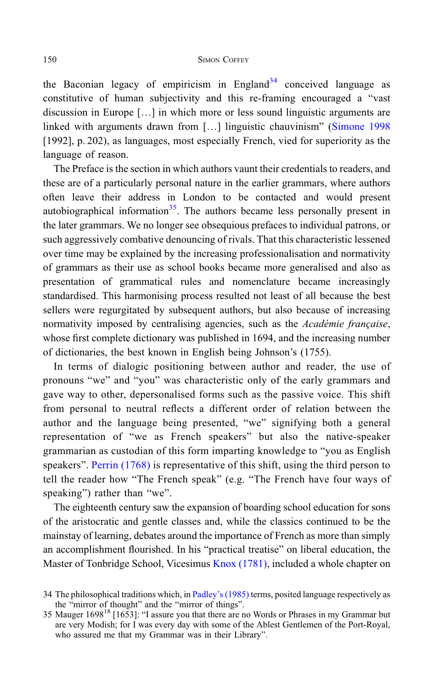the Baconian legacy of empiricism in England<sup>34</sup> conceived language as constitutive of human subjectivity and this re-framing encouraged a "vast discussion in Europe […] in which more or less sound linguistic arguments are linked with arguments drawn from [...] linguistic chauvinism" ([Simone 1998](#page-19-0)) [1992], p. 202), as languages, most especially French, vied for superiority as the language of reason.

The Preface is the section in which authors vaunt their credentials to readers, and these are of a particularly personal nature in the earlier grammars, where authors often leave their address in London to be contacted and would present autobiographical information<sup>35</sup>. The authors became less personally present in the later grammars. We no longer see obsequious prefaces to individual patrons, or such aggressively combative denouncing of rivals. That this characteristic lessened over time may be explained by the increasing professionalisation and normativity of grammars as their use as school books became more generalised and also as presentation of grammatical rules and nomenclature became increasingly standardised. This harmonising process resulted not least of all because the best sellers were regurgitated by subsequent authors, but also because of increasing normativity imposed by centralising agencies, such as the Académie française, whose first complete dictionary was published in 1694, and the increasing number of dictionaries, the best known in English being Johnson's (1755).

In terms of dialogic positioning between author and reader, the use of pronouns "we" and "you" was characteristic only of the early grammars and gave way to other, depersonalised forms such as the passive voice. This shift from personal to neutral reflects a different order of relation between the author and the language being presented, "we" signifying both a general representation of "we as French speakers" but also the native-speaker grammarian as custodian of this form imparting knowledge to "you as English speakers". [Perrin \(1768\)](#page-17-0) is representative of this shift, using the third person to tell the reader how "The French speak" (e.g. "The French have four ways of speaking") rather than "we".

The eighteenth century saw the expansion of boarding school education for sons of the aristocratic and gentle classes and, while the classics continued to be the mainstay of learning, debates around the importance of French as more than simply an accomplishment flourished. In his "practical treatise" on liberal education, the Master of Tonbridge School, Vicesimus [Knox \(1781\),](#page-16-0) included a whole chapter on

<sup>34</sup> The philosophical traditions which, in Padley'[s \(1985\)](#page-18-0) terms, posited language respectively as the "mirror of thought" and the "mirror of things".

<sup>35</sup> Mauger 1698<sup>18</sup> [1653]: "I assure you that there are no Words or Phrases in my Grammar but are very Modish; for I was every day with some of the Ablest Gentlemen of the Port-Royal, who assured me that my Grammar was in their Library".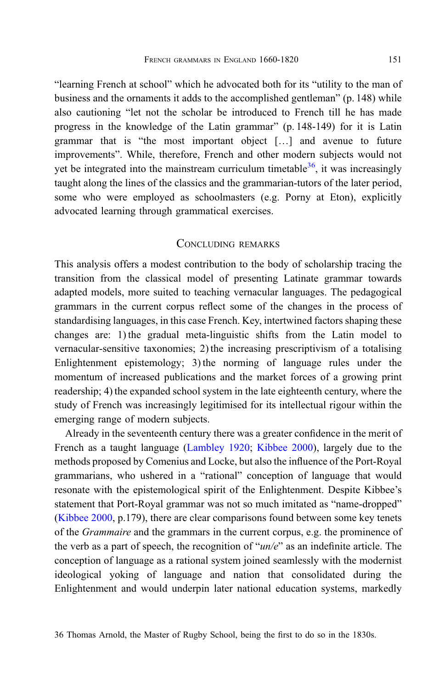"learning French at school" which he advocated both for its "utility to the man of business and the ornaments it adds to the accomplished gentleman" (p. 148) while also cautioning "let not the scholar be introduced to French till he has made progress in the knowledge of the Latin grammar" (p. 148-149) for it is Latin grammar that is "the most important object […] and avenue to future improvements". While, therefore, French and other modern subjects would not yet be integrated into the mainstream curriculum timetable  $36$ , it was increasingly taught along the lines of the classics and the grammarian-tutors of the later period, some who were employed as schoolmasters (e.g. Porny at Eton), explicitly advocated learning through grammatical exercises.

# CONCLUDING REMARKS

This analysis offers a modest contribution to the body of scholarship tracing the transition from the classical model of presenting Latinate grammar towards adapted models, more suited to teaching vernacular languages. The pedagogical grammars in the current corpus reflect some of the changes in the process of standardising languages, in this case French. Key, intertwined factors shaping these changes are: 1) the gradual meta-linguistic shifts from the Latin model to vernacular-sensitive taxonomies; 2) the increasing prescriptivism of a totalising Enlightenment epistemology; 3) the norming of language rules under the momentum of increased publications and the market forces of a growing print readership; 4) the expanded school system in the late eighteenth century, where the study of French was increasingly legitimised for its intellectual rigour within the emerging range of modern subjects.

Already in the seventeenth century there was a greater confidence in the merit of French as a taught language [\(Lambley 1920;](#page-18-0) [Kibbee 2000](#page-18-0)), largely due to the methods proposed by Comenius and Locke, but also the influence of the Port-Royal grammarians, who ushered in a "rational" conception of language that would resonate with the epistemological spirit of the Enlightenment. Despite Kibbee's statement that Port-Royal grammar was not so much imitated as "name-dropped" [\(Kibbee 2000](#page-18-0), p.179), there are clear comparisons found between some key tenets of the Grammaire and the grammars in the current corpus, e.g. the prominence of the verb as a part of speech, the recognition of " $un/e$ " as an indefinite article. The conception of language as a rational system joined seamlessly with the modernist ideological yoking of language and nation that consolidated during the Enlightenment and would underpin later national education systems, markedly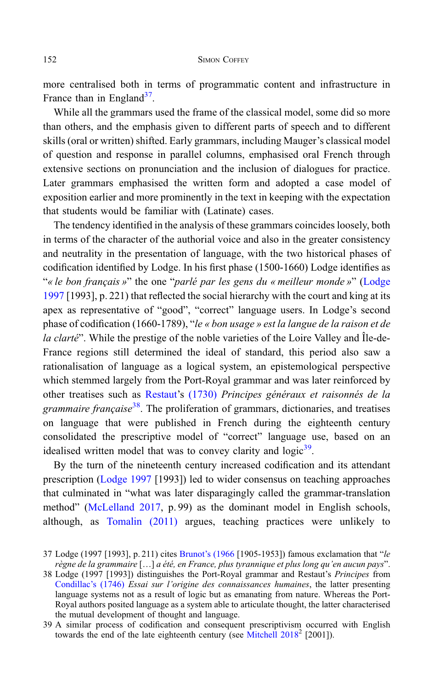more centralised both in terms of programmatic content and infrastructure in France than in England<sup>37</sup>.

While all the grammars used the frame of the classical model, some did so more than others, and the emphasis given to different parts of speech and to different skills (oral or written) shifted. Early grammars, including Mauger's classical model of question and response in parallel columns, emphasised oral French through extensive sections on pronunciation and the inclusion of dialogues for practice. Later grammars emphasised the written form and adopted a case model of exposition earlier and more prominently in the text in keeping with the expectation that students would be familiar with (Latinate) cases.

The tendency identified in the analysis of these grammars coincides loosely, both in terms of the character of the authorial voice and also in the greater consistency and neutrality in the presentation of language, with the two historical phases of codification identified by Lodge. In his first phase (1500-1660) Lodge identifies as "« le bon français »" the one "parlé par les gens du « meilleur monde »" ([Lodge](#page-18-0) [1997](#page-18-0) [1993], p. 221) that reflected the social hierarchy with the court and king at its apex as representative of "good", "correct" language users. In Lodge's second phase of codification (1660-1789), "le « bon usage » est la langue de la raison et de la clarté". While the prestige of the noble varieties of the Loire Valley and Île-de-France regions still determined the ideal of standard, this period also saw a rationalisation of language as a logical system, an epistemological perspective which stemmed largely from the Port-Royal grammar and was later reinforced by other treatises such as [Restaut](#page-17-0)'s [\(1730\)](#page-17-0) Principes généraux et raisonnés de la grammaire française<sup>38</sup>. The proliferation of grammars, dictionaries, and treatises on language that were published in French during the eighteenth century consolidated the prescriptive model of "correct" language use, based on an idealised written model that was to convey clarity and  $logic^{39}$ .

By the turn of the nineteenth century increased codification and its attendant prescription [\(Lodge 1997](#page-18-0) [1993]) led to wider consensus on teaching approaches that culminated in "what was later disparagingly called the grammar-translation method" ([McLelland 2017,](#page-18-0) p. 99) as the dominant model in English schools, although, as [Tomalin \(2011\)](#page-19-0) argues, teaching practices were unlikely to

<sup>37</sup> Lodge (1997 [1993], p. 211) cites Brunot'[s \(1966](#page-18-0) [1905-1953]) famous exclamation that "le règne de la grammaire […] a été, en France, plus tyrannique et plus long qu'en aucun pays".

<sup>38</sup> Lodge (1997 [1993]) distinguishes the Port-Royal grammar and Restaut's Principes from [Condillac](#page-16-0)'s (1746) Essai sur l'origine des connaissances humaines, the latter presenting language systems not as a result of logic but as emanating from nature. Whereas the Port-Royal authors posited language as a system able to articulate thought, the latter characterised the mutual development of thought and language.

<sup>39</sup> A similar process of codification and consequent prescriptivism occurred with English towards the end of the late eighteenth century (see Mitchell  $2018^2$  [2001]).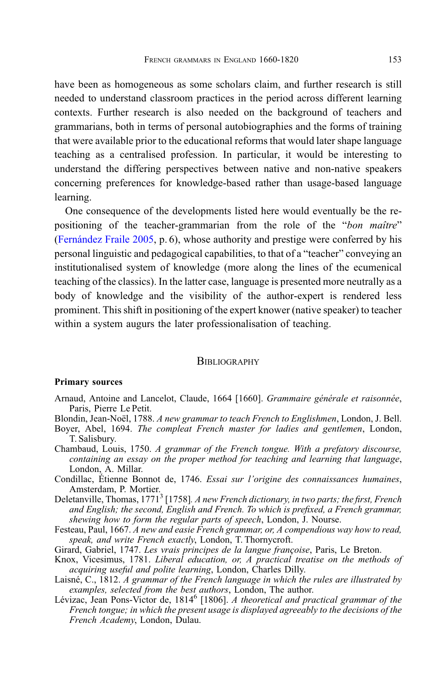<span id="page-16-0"></span>have been as homogeneous as some scholars claim, and further research is still needed to understand classroom practices in the period across different learning contexts. Further research is also needed on the background of teachers and grammarians, both in terms of personal autobiographies and the forms of training that were available prior to the educational reforms that would later shape language teaching as a centralised profession. In particular, it would be interesting to understand the differing perspectives between native and non-native speakers concerning preferences for knowledge-based rather than usage-based language learning.

One consequence of the developments listed here would eventually be the repositioning of the teacher-grammarian from the role of the "bon maître" [\(Fernández Fraile 2005,](#page-18-0) p. 6), whose authority and prestige were conferred by his personal linguistic and pedagogical capabilities, to that of a "teacher" conveying an institutionalised system of knowledge (more along the lines of the ecumenical teaching of the classics). In the latter case, language is presented more neutrally as a body of knowledge and the visibility of the author-expert is rendered less prominent. This shift in positioning of the expert knower (native speaker) to teacher within a system augurs the later professionalisation of teaching.

### **BIBLIOGRAPHY**

### Primary sources

- Arnaud, Antoine and Lancelot, Claude, 1664 [1660]. Grammaire générale et raisonnée. Paris, Pierre Le Petit.
- Blondin, Jean-Noël, 1788. A new grammar to teach French to Englishmen, London, J. Bell.
- Boyer, Abel, 1694. The compleat French master for ladies and gentlemen, London, T. Salisbury.
- Chambaud, Louis, 1750. A grammar of the French tongue. With a prefatory discourse, containing an essay on the proper method for teaching and learning that language, London, A. Millar.
- Condillac, Étienne Bonnot de, 1746. Essai sur l'origine des connaissances humaines,
- Amsterdam, P. Mortier.<br>Deletanville, Thomas, 1771<sup>3</sup> [1758]. A new French dictionary, in two parts; the first, French and English; the second, English and French. To which is prefixed, a French grammar, shewing how to form the regular parts of speech, London, J. Nourse.
- Festeau, Paul, 1667. A new and easie French grammar, or, A compendious way how to read, speak, and write French exactly, London, T. Thornycroft.
- Girard, Gabriel, 1747. Les vrais principes de la langue françoise, Paris, Le Breton.
- Knox, Vicesimus, 1781. Liberal education, or, A practical treatise on the methods of acquiring useful and polite learning, London, Charles Dilly.
- Laisné, C., 1812. A grammar of the French language in which the rules are illustrated by examples, selected from the best authors, London, The author.
- Lévizac, Jean Pons-Victor de, 1814<sup>6</sup> [1806]. A theoretical and practical grammar of the French tongue; in which the present usage is displayed agreeably to the decisions of the French Academy, London, Dulau.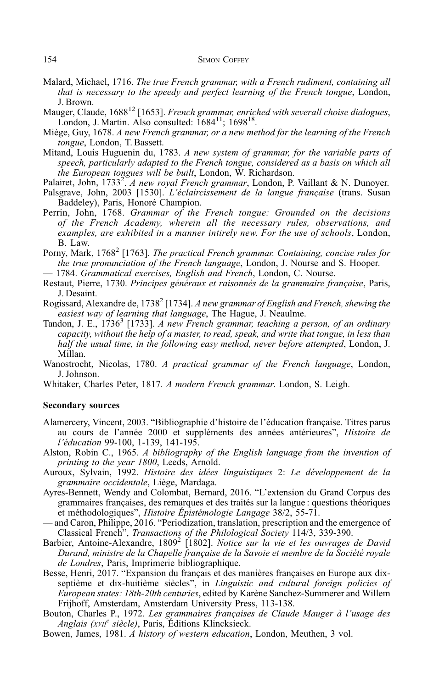- <span id="page-17-0"></span>Malard, Michael, 1716. The true French grammar, with a French rudiment, containing all that is necessary to the speedy and perfect learning of the French tongue, London, J. Brown.
- Mauger, Claude, 1688<sup>12</sup> [1653]. *French grammar, enriched with severall choise dialogues*, London, J. Martin. Also consulted:  $1684^{11}$ ;  $1698^{18}$ .
- Miège, Guy, 1678. A new French grammar, or a new method for the learning of the French tongue, London, T. Bassett.
- Mitand, Louis Huguenin du, 1783. A new system of grammar, for the variable parts of speech, particularly adapted to the French tongue, considered as a basis on which all the European tongues will be built, London, W. Richardson.
- Palairet, John, 1733<sup>2</sup>. A new royal French grammar, London, P. Vaillant & N. Dunoyer.
- Palsgrave, John, 2003 [1530]. L'éclaircissement de la langue française (trans. Susan Baddeley), Paris, Honoré Champion.
- Perrin, John, 1768. Grammar of the French tongue: Grounded on the decisions of the French Academy, wherein all the necessary rules, observations, and examples, are exhibited in a manner intirely new. For the use of schools, London, B. Law.
- Porny, Mark, 1768<sup>2</sup> [1763]. The practical French grammar. Containing, concise rules for the true pronunciation of the French language, London, J. Nourse and S. Hooper.
- 1784. Grammatical exercises, English and French, London, C. Nourse.
- Restaut, Pierre, 1730. Principes généraux et raisonnés de la grammaire française, Paris, J. Desaint.
- Rogissard, Alexandre de, 1738<sup>2</sup> [1734]. A new grammar of English and French, shewing the easiest way of learning that language, The Hague, J. Neaulme.
- Tandon, J. E., 1736<sup>3</sup> [1733]. A new French grammar, teaching a person, of an ordinary capacity, without the help of a master, to read, speak, and write that tongue, in less than half the usual time, in the following easy method, never before attempted, London, J. Millan.
- Wanostrocht, Nicolas, 1780. A practical grammar of the French language, London, J. Johnson.
- Whitaker, Charles Peter, 1817. A modern French grammar. London, S. Leigh.

# Secondary sources

- Alamercery, Vincent, 2003. "Bibliographie d'histoire de l'éducation française. Titres parus au cours de l'année 2000 et suppléments des années antérieures", Histoire de l'éducation 99-100, 1-139, 141-195.
- Alston, Robin C., 1965. A bibliography of the English language from the invention of printing to the year 1800, Leeds, Arnold.
- Auroux, Sylvain, 1992. Histoire des idées linguistiques 2: Le développement de la grammaire occidentale, Liège, Mardaga.
- Ayres-Bennett, Wendy and Colombat, Bernard, 2016. "L'extension du Grand Corpus des grammaires françaises, des remarques et des traités sur la langue : questions théoriques et méthodologiques", Histoire Épistémologie Langage 38/2, 55-71.
- and Caron, Philippe, 2016. "Periodization, translation, prescription and the emergence of Classical French", Transactions of the Philological Society 114/3, 339-390.
- Barbier, Antoine-Alexandre, 1809<sup>2</sup> [1802]. Notice sur la vie et les ouvrages de David Durand, ministre de la Chapelle française de la Savoie et membre de la Société royale de Londres, Paris, Imprimerie bibliographique.
- Besse, Henri, 2017. "Expansion du français et des manières françaises en Europe aux dixseptième et dix-huitième siècles", in Linguistic and cultural foreign policies of European states: 18th-20th centuries, edited by Karène Sanchez-Summerer and Willem Frijhoff, Amsterdam, Amsterdam University Press, 113-138.
- Bouton, Charles P., 1972. Les grammaires françaises de Claude Mauger à l'usage des Anglais (XVIIe siècle), Paris, Éditions Klincksieck.
- Bowen, James, 1981. A history of western education, London, Meuthen, 3 vol.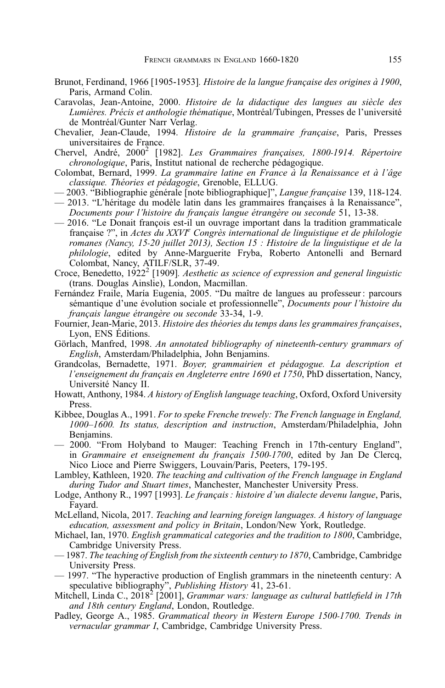- <span id="page-18-0"></span>Brunot, Ferdinand, 1966 [1905-1953]. Histoire de la langue française des origines à 1900, Paris, Armand Colin.
- Caravolas, Jean-Antoine, 2000. Histoire de la didactique des langues au siècle des Lumières. Précis et anthologie thématique, Montréal/Tubingen, Presses de l'université de Montréal/Gunter Narr Verlag.
- Chevalier, Jean-Claude, 1994. Histoire de la grammaire française, Paris, Presses universitaires de France.
- Chervel, André, 2000<sup>2</sup> [1982]. Les Grammaires françaises, 1800-1914. Répertoire chronologique, Paris, Institut national de recherche pédagogique.
- Colombat, Bernard, 1999. La grammaire latine en France à la Renaissance et à l'âge classique. Théories et pédagogie, Grenoble, ELLUG.
- 2003. "Bibliographie générale [note bibliographique]", Langue française 139, 118-124.
- 2013. "L'héritage du modèle latin dans les grammaires françaises à la Renaissance", Documents pour l'histoire du français langue étrangère ou seconde 51, 13-38.
- 2016. "Le Donait françois est-il un ouvrage important dans la tradition grammaticale française ?", in Actes du XXVI<sup>e</sup> Congrès international de linguistique et de philologie romanes (Nancy, 15‑20 juillet 2013), Section 15 : Histoire de la linguistique et de la philologie, edited by Anne-Marguerite Fryba, Roberto Antonelli and Bernard Colombat, Nancy, ATILF/SLR, 37-49.
- Croce, Benedetto,  $1922^2$  [1909]. Aesthetic as science of expression and general linguistic (trans. Douglas Ainslie), London, Macmillan.
- Fernández Fraile, María Eugenia, 2005. "Du maître de langues au professeur : parcours sémantique d'une évolution sociale et professionnelle", Documents pour l'histoire du français langue étrangère ou seconde 33-34, 1-9.
- Fournier, Jean-Marie, 2013. Histoire des théories du temps dans les grammaires françaises, Lyon, ENS Éditions.
- Görlach, Manfred, 1998. An annotated bibliography of nineteenth-century grammars of English, Amsterdam/Philadelphia, John Benjamins.
- Grandcolas, Bernadette, 1971. Boyer, grammairien et pédagogue. La description et l'enseignement du français en Angleterre entre 1690 et 1750, PhD dissertation, Nancy, Université Nancy II.
- Howatt, Anthony, 1984. A history of English language teaching, Oxford, Oxford University Press.
- Kibbee, Douglas A., 1991. For to speke Frenche trewely: The French language in England, 1000–1600. Its status, description and instruction, Amsterdam/Philadelphia, John Benjamins.
- 2000. "From Holyband to Mauger: Teaching French in 17th-century England", in Grammaire et enseignement du français 1500-1700, edited by Jan De Clercq, Nico Lioce and Pierre Swiggers, Louvain/Paris, Peeters, 179-195.
- Lambley, Kathleen, 1920. The teaching and cultivation of the French language in England during Tudor and Stuart times, Manchester, Manchester University Press.
- Lodge, Anthony R., 1997 [1993]. Le français : histoire d'un dialecte devenu langue, Paris, Fayard.
- McLelland, Nicola, 2017. Teaching and learning foreign languages. A history of language education, assessment and policy in Britain, London/New York, Routledge.
- Michael, Ian, 1970. English grammatical categories and the tradition to 1800, Cambridge, Cambridge University Press.
- 1987. The teaching of English from the sixteenth century to 1870, Cambridge, Cambridge University Press.
- 1997. "The hyperactive production of English grammars in the nineteenth century: A speculative bibliography", Publishing History 41, 23-61.
- Mitchell, Linda C., 2018<sup>2</sup> [2001], *Grammar wars: language as cultural battlefield in 17th* and 18th century England, London, Routledge.
- Padley, George A., 1985. Grammatical theory in Western Europe 1500-1700. Trends in vernacular grammar I, Cambridge, Cambridge University Press.